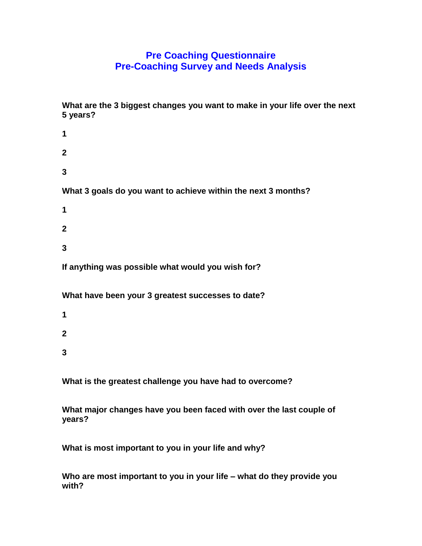## **Pre Coaching Questionnaire Pre-Coaching Survey and Needs Analysis**

**What are the 3 biggest changes you want to make in your life over the next 5 years?** 

- **1 2 3 What 3 goals do you want to achieve within the next 3 months? 1 2 3 If anything was possible what would you wish for? What have been your 3 greatest successes to date? 1**
- **2 3**

**What is the greatest challenge you have had to overcome?** 

**What major changes have you been faced with over the last couple of years?** 

**What is most important to you in your life and why?** 

**Who are most important to you in your life – what do they provide you with?**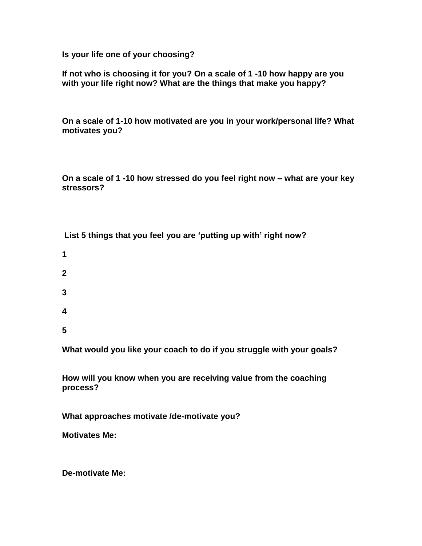**Is your life one of your choosing?** 

**If not who is choosing it for you? On a scale of 1 -10 how happy are you with your life right now? What are the things that make you happy?** 

**On a scale of 1-10 how motivated are you in your work/personal life? What motivates you?** 

**On a scale of 1 -10 how stressed do you feel right now – what are your key stressors?**

**List 5 things that you feel you are 'putting up with' right now?** 

- **1**
- **2**
- **3**
- 
- **4**
- **5**

**What would you like your coach to do if you struggle with your goals?** 

**How will you know when you are receiving value from the coaching process?**

**What approaches motivate /de-motivate you?** 

**Motivates Me:**

**De-motivate Me:**